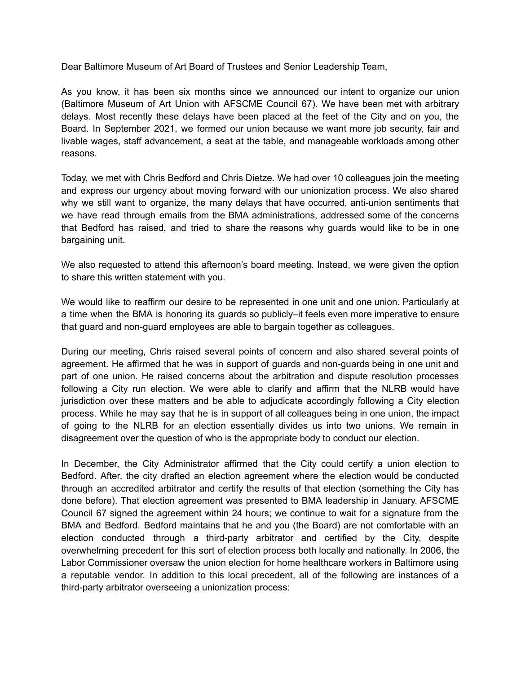Dear Baltimore Museum of Art Board of Trustees and Senior Leadership Team,

As you know, it has been six months since we announced our intent to organize our union (Baltimore Museum of Art Union with AFSCME Council 67). We have been met with arbitrary delays. Most recently these delays have been placed at the feet of the City and on you, the Board. In September 2021, we formed our union because we want more job security, fair and livable wages, staff advancement, a seat at the table, and manageable workloads among other reasons.

Today, we met with Chris Bedford and Chris Dietze. We had over 10 colleagues join the meeting and express our urgency about moving forward with our unionization process. We also shared why we still want to organize, the many delays that have occurred, anti-union sentiments that we have read through emails from the BMA administrations, addressed some of the concerns that Bedford has raised, and tried to share the reasons why guards would like to be in one bargaining unit.

We also requested to attend this afternoon's board meeting. Instead, we were given the option to share this written statement with you.

We would like to reaffirm our desire to be represented in one unit and one union. Particularly at a time when the BMA is honoring its guards so publicly–it feels even more imperative to ensure that guard and non-guard employees are able to bargain together as colleagues.

During our meeting, Chris raised several points of concern and also shared several points of agreement. He affirmed that he was in support of guards and non-guards being in one unit and part of one union. He raised concerns about the arbitration and dispute resolution processes following a City run election. We were able to clarify and affirm that the NLRB would have jurisdiction over these matters and be able to adjudicate accordingly following a City election process. While he may say that he is in support of all colleagues being in one union, the impact of going to the NLRB for an election essentially divides us into two unions. We remain in disagreement over the question of who is the appropriate body to conduct our election.

In December, the City Administrator affirmed that the City could certify a union election to Bedford. After, the city drafted an election agreement where the election would be conducted through an accredited arbitrator and certify the results of that election (something the City has done before). That election agreement was presented to BMA leadership in January. AFSCME Council 67 signed the agreement within 24 hours; we continue to wait for a signature from the BMA and Bedford. Bedford maintains that he and you (the Board) are not comfortable with an election conducted through a third-party arbitrator and certified by the City, despite overwhelming precedent for this sort of election process both locally and nationally. In 2006, the Labor Commissioner oversaw the union election for home healthcare workers in Baltimore using a reputable vendor. In addition to this local precedent, all of the following are instances of a third-party arbitrator overseeing a unionization process: